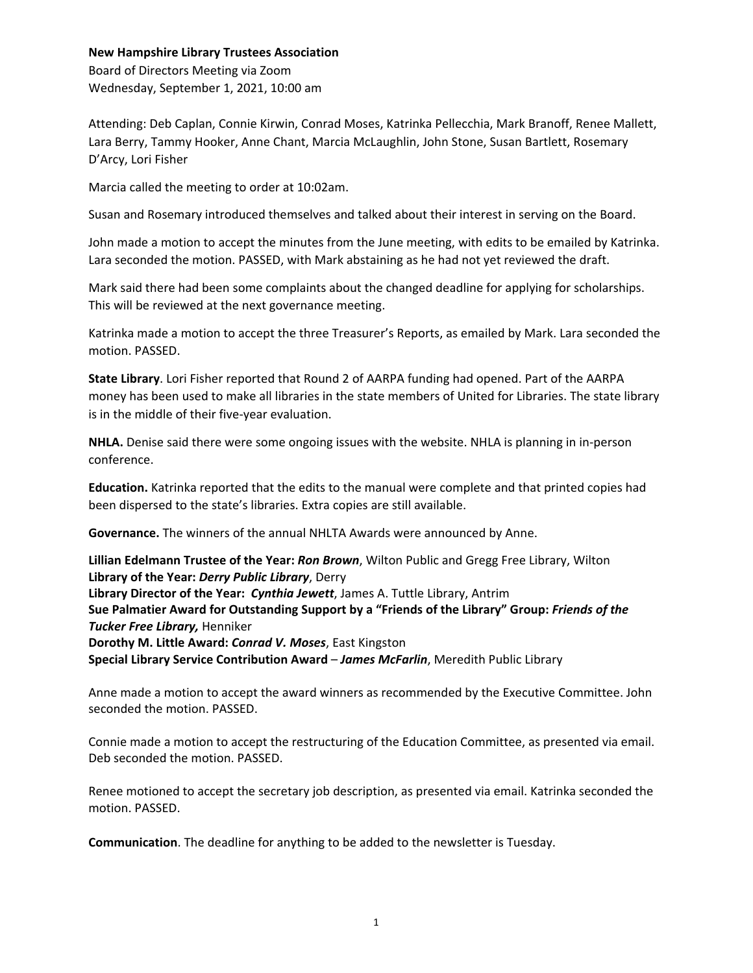## **New Hampshire Library Trustees Association**

Board of Directors Meeting via Zoom Wednesday, September 1, 2021, 10:00 am

Attending: Deb Caplan, Connie Kirwin, Conrad Moses, Katrinka Pellecchia, Mark Branoff, Renee Mallett, Lara Berry, Tammy Hooker, Anne Chant, Marcia McLaughlin, John Stone, Susan Bartlett, Rosemary D'Arcy, Lori Fisher

Marcia called the meeting to order at 10:02am.

Susan and Rosemary introduced themselves and talked about their interest in serving on the Board.

John made a motion to accept the minutes from the June meeting, with edits to be emailed by Katrinka. Lara seconded the motion. PASSED, with Mark abstaining as he had not yet reviewed the draft.

Mark said there had been some complaints about the changed deadline for applying for scholarships. This will be reviewed at the next governance meeting.

Katrinka made a motion to accept the three Treasurer's Reports, as emailed by Mark. Lara seconded the motion. PASSED.

**State Library**. Lori Fisher reported that Round 2 of AARPA funding had opened. Part of the AARPA money has been used to make all libraries in the state members of United for Libraries. The state library is in the middle of their five-year evaluation.

**NHLA.** Denise said there were some ongoing issues with the website. NHLA is planning in in-person conference.

**Education.** Katrinka reported that the edits to the manual were complete and that printed copies had been dispersed to the state's libraries. Extra copies are still available.

**Governance.** The winners of the annual NHLTA Awards were announced by Anne.

**Lillian Edelmann Trustee of the Year:** *Ron Brown*, Wilton Public and Gregg Free Library, Wilton **Library of the Year:** *Derry Public Library*, Derry **Library Director of the Year:** *Cynthia Jewett*, James A. Tuttle Library, Antrim **Sue Palmatier Award for Outstanding Support by a "Friends of the Library" Group:** *Friends of the Tucker Free Library,* Henniker **Dorothy M. Little Award:** *Conrad V. Moses*, East Kingston **Special Library Service Contribution Award** – *James McFarlin*, Meredith Public Library

Anne made a motion to accept the award winners as recommended by the Executive Committee. John seconded the motion. PASSED.

Connie made a motion to accept the restructuring of the Education Committee, as presented via email. Deb seconded the motion. PASSED.

Renee motioned to accept the secretary job description, as presented via email. Katrinka seconded the motion. PASSED.

**Communication**. The deadline for anything to be added to the newsletter is Tuesday.